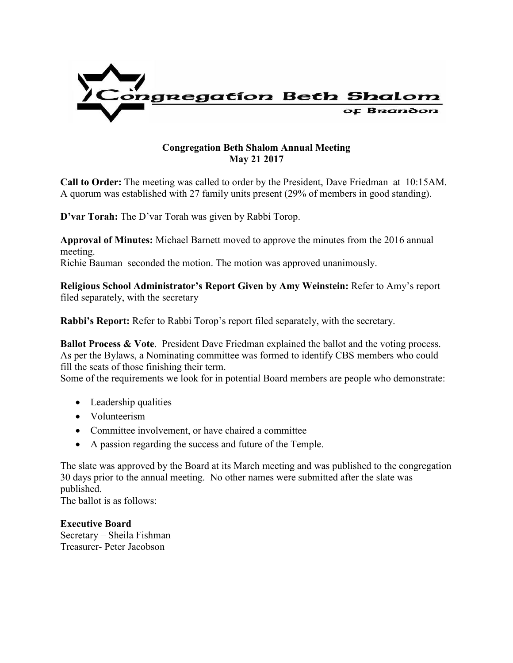

## **Congregation Beth Shalom Annual Meeting May 21 2017**

**Call to Order:** The meeting was called to order by the President, Dave Friedman at 10:15AM. A quorum was established with 27 family units present (29% of members in good standing).

**D'var Torah:** The D'var Torah was given by Rabbi Torop.

**Approval of Minutes:** Michael Barnett moved to approve the minutes from the 2016 annual meeting.

Richie Bauman seconded the motion. The motion was approved unanimously.

**Religious School Administrator's Report Given by Amy Weinstein:** Refer to Amy's report filed separately, with the secretary

**Rabbi's Report:** Refer to Rabbi Torop's report filed separately, with the secretary.

**Ballot Process & Vote.** President Dave Friedman explained the ballot and the voting process. As per the Bylaws, a Nominating committee was formed to identify CBS members who could fill the seats of those finishing their term.

Some of the requirements we look for in potential Board members are people who demonstrate:

- Leadership qualities
- Volunteerism
- Committee involvement, or have chaired a committee
- A passion regarding the success and future of the Temple.

The slate was approved by the Board at its March meeting and was published to the congregation 30 days prior to the annual meeting. No other names were submitted after the slate was published.

The ballot is as follows:

**Executive Board** Secretary – Sheila Fishman Treasurer- Peter Jacobson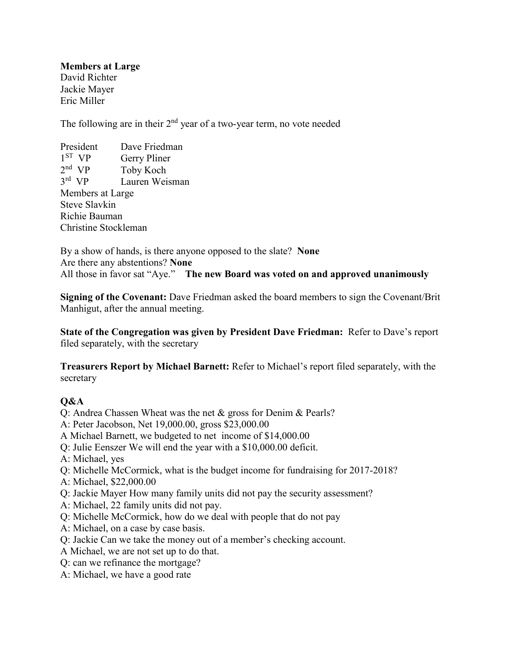**Members at Large** David Richter Jackie Mayer Eric Miller

The following are in their  $2<sup>nd</sup>$  year of a two-year term, no vote needed

President Dave Friedman 1 ST Gerry Pliner 2 nd Toby Koch 3 rd Lauren Weisman Members at Large Steve Slavkin Richie Bauman Christine Stockleman

By a show of hands, is there anyone opposed to the slate? **None** Are there any abstentions? **None** All those in favor sat "Aye." **The new Board was voted on and approved unanimously**

**Signing of the Covenant:** Dave Friedman asked the board members to sign the Covenant/Brit Manhigut, after the annual meeting.

**State of the Congregation was given by President Dave Friedman:** Refer to Dave's report filed separately, with the secretary

**Treasurers Report by Michael Barnett:** Refer to Michael's report filed separately, with the secretary

## **Q&A**

- Q: Andrea Chassen Wheat was the net & gross for Denim & Pearls?
- A: Peter Jacobson, Net 19,000.00, gross \$23,000.00
- A Michael Barnett, we budgeted to net income of \$14,000.00
- Q: Julie Eenszer We will end the year with a \$10,000.00 deficit.
- A: Michael, yes
- Q: Michelle McCormick, what is the budget income for fundraising for 2017-2018?
- A: Michael, \$22,000.00
- Q: Jackie Mayer How many family units did not pay the security assessment?
- A: Michael, 22 family units did not pay.
- Q: Michelle McCormick, how do we deal with people that do not pay
- A: Michael, on a case by case basis.
- Q: Jackie Can we take the money out of a member's checking account.
- A Michael, we are not set up to do that.
- Q: can we refinance the mortgage?
- A: Michael, we have a good rate